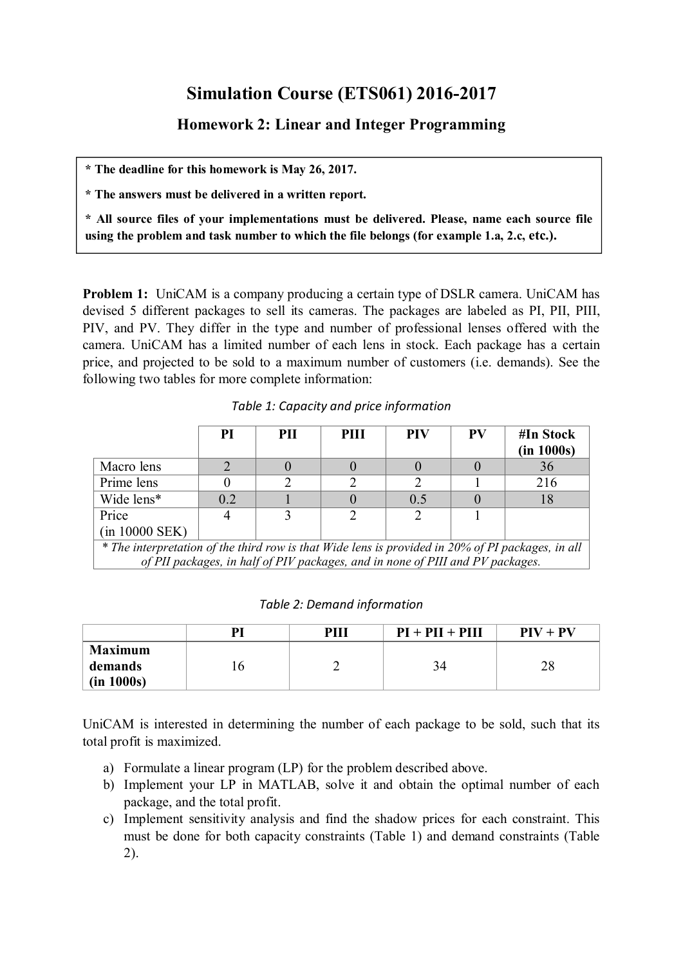## **Simulation Course (ETS061) 2016-2017**

**Homework 2: Linear and Integer Programming**

**\* The deadline for this homework is May 26, 2017.**

**\* The answers must be delivered in a written report.**

**\* All source files of your implementations must be delivered. Please, name each source file using the problem and task number to which the file belongs (for example 1.a, 2.c, etc.).**

**Problem 1:** UniCAM is a company producing a certain type of DSLR camera. UniCAM has devised 5 different packages to sell its cameras. The packages are labeled as PI, PII, PIII, PIV, and PV. They differ in the type and number of professional lenses offered with the camera. UniCAM has a limited number of each lens in stock. Each package has a certain price, and projected to be sold to a maximum number of customers (i.e. demands). See the following two tables for more complete information:

|                                                                                                   | PI  | PII | PIII | <b>PIV</b> | <b>PV</b> | #In Stock<br>(in 1000s) |  |
|---------------------------------------------------------------------------------------------------|-----|-----|------|------------|-----------|-------------------------|--|
| Macro lens                                                                                        |     |     |      |            |           | 36                      |  |
| Prime lens                                                                                        |     |     |      |            |           | 216                     |  |
| Wide lens*                                                                                        | 0.2 |     |      | 0.5        |           | 18                      |  |
| Price                                                                                             |     |     |      |            |           |                         |  |
| $(in 10000$ SEK $)$                                                                               |     |     |      |            |           |                         |  |
| * The interpretation of the third row is that Wide lens is provided in 20% of PI packages, in all |     |     |      |            |           |                         |  |
| of PII packages, in half of PIV packages, and in none of PIII and PV packages.                    |     |     |      |            |           |                         |  |

*Table 1: Capacity and price information*

|  |  | Table 2: Demand information |
|--|--|-----------------------------|
|--|--|-----------------------------|

|                                         | PI | PIII | $PI + PII + PIII$ | $PIV + PV$ |
|-----------------------------------------|----|------|-------------------|------------|
| <b>Maximum</b><br>demands<br>(in 1000s) | 10 | ∼    | 34                | 28         |

UniCAM is interested in determining the number of each package to be sold, such that its total profit is maximized.

- a) Formulate a linear program (LP) for the problem described above.
- b) Implement your LP in MATLAB, solve it and obtain the optimal number of each package, and the total profit.
- c) Implement sensitivity analysis and find the shadow prices for each constraint. This must be done for both capacity constraints (Table 1) and demand constraints (Table 2).